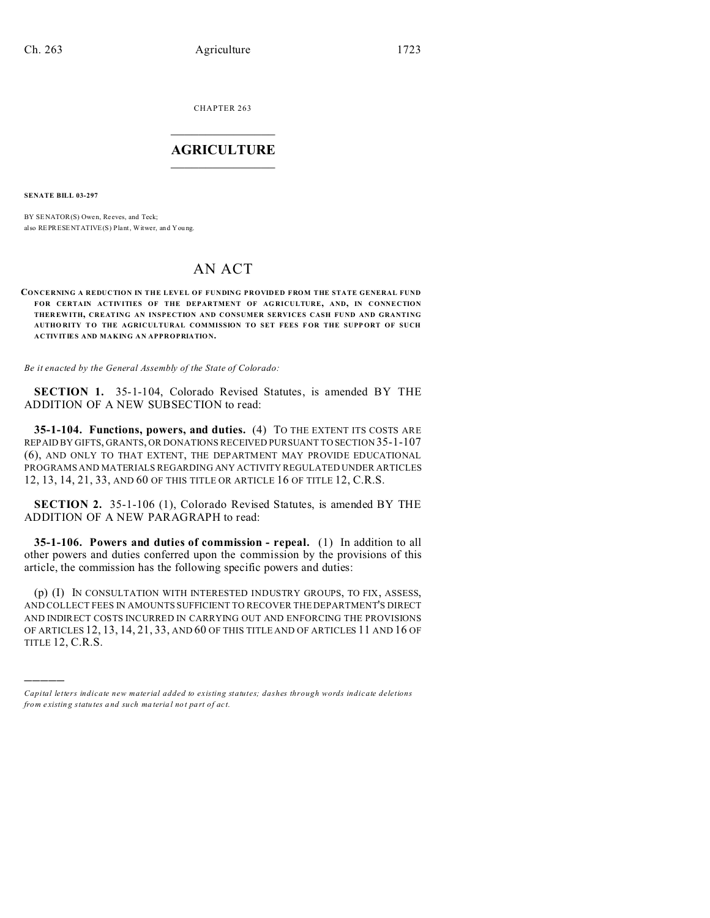CHAPTER 263  $\overline{\phantom{a}}$  , where  $\overline{\phantom{a}}$ 

# **AGRICULTURE**  $\_$   $\_$   $\_$   $\_$   $\_$   $\_$   $\_$   $\_$

**SENATE BILL 03-297**

)))))

BY SENATOR(S) Owen, Reeves, and Teck; also REPRESENTATIVE(S) Plant, Witwer, and You ng.

# AN ACT

#### **CONCERNING A REDUCTION IN THE LEVEL OF FUNDING PROVIDED FROM THE STATE GENERAL FUND FOR CERTAIN ACTIVITIES OF THE DEPARTMENT OF AG RICULTURE, AND, IN CONNECTION THER EWITH, CREATING AN INSPECTION AND CONSUMER SERVICES CASH FUND AND GRANTING AUTHO RITY TO THE AGRICULTURAL COMMISSION TO SET FEES F OR THE SUPP ORT OF SUCH ACTIVITIES AND MAKING AN APPROPRIATION.**

*Be it enacted by the General Assembly of the State of Colorado:*

**SECTION 1.** 35-1-104, Colorado Revised Statutes, is amended BY THE ADDITION OF A NEW SUBSECTION to read:

**35-1-104. Functions, powers, and duties.** (4) TO THE EXTENT ITS COSTS ARE REPAID BY GIFTS, GRANTS, OR DONATIONS RECEIVED PURSUANT TO SECTION 35-1-107 (6), AND ONLY TO THAT EXTENT, THE DEPARTMENT MAY PROVIDE EDUCATIONAL PROGRAMS AND MATERIALS REGARDING ANY ACTIVITY REGULATED UNDER ARTICLES 12, 13, 14, 21, 33, AND 60 OF THIS TITLE OR ARTICLE 16 OF TITLE 12, C.R.S.

**SECTION 2.** 35-1-106 (1), Colorado Revised Statutes, is amended BY THE ADDITION OF A NEW PARAGRAPH to read:

**35-1-106. Powers and duties of commission - repeal.** (1) In addition to all other powers and duties conferred upon the commission by the provisions of this article, the commission has the following specific powers and duties:

(p) (I) IN CONSULTATION WITH INTERESTED INDUSTRY GROUPS, TO FIX, ASSESS, AND COLLECT FEES IN AMOUNTS SUFFICIENT TO RECOVER THE DEPARTMENT'S DIRECT AND INDIRECT COSTS INCURRED IN CARRYING OUT AND ENFORCING THE PROVISIONS OF ARTICLES 12, 13, 14, 21, 33, AND 60 OF THIS TITLE AND OF ARTICLES 11 AND 16 OF TITLE 12, C.R.S.

*Capital letters indicate new material added to existing statutes; dashes through words indicate deletions from e xistin g statu tes a nd such ma teria l no t pa rt of ac t.*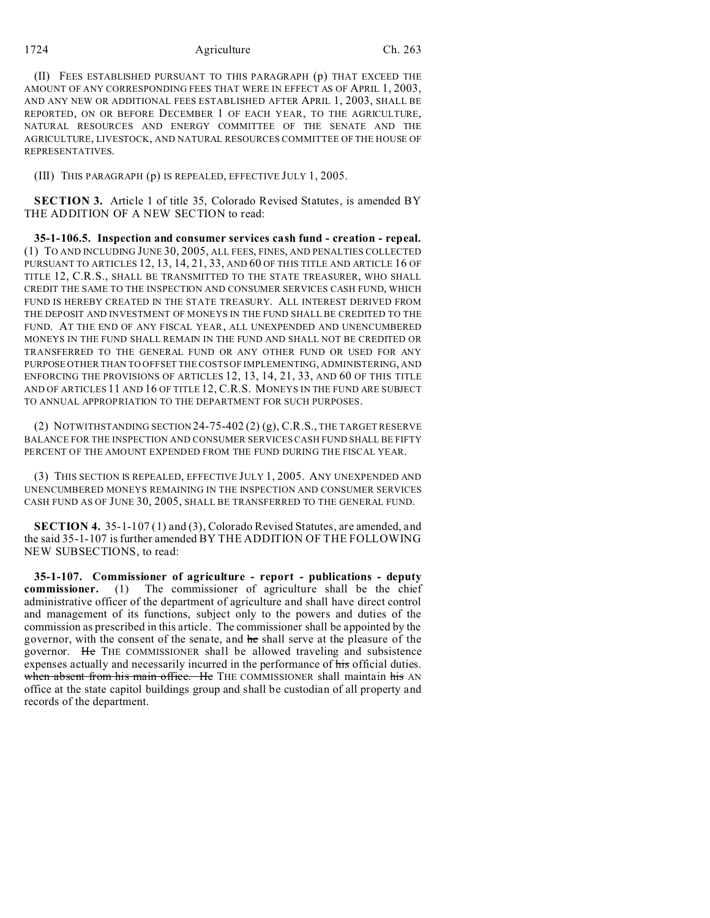#### 1724 Ch. 263

(II) FEES ESTABLISHED PURSUANT TO THIS PARAGRAPH (p) THAT EXCEED THE AMOUNT OF ANY CORRESPONDING FEES THAT WERE IN EFFECT AS OF APRIL 1, 2003, AND ANY NEW OR ADDITIONAL FEES ESTABLISHED AFTER APRIL 1, 2003, SHALL BE REPORTED, ON OR BEFORE DECEMBER 1 OF EACH YEAR, TO THE AGRICULTURE, NATURAL RESOURCES AND ENERGY COMMITTEE OF THE SENATE AND THE AGRICULTURE, LIVESTOCK, AND NATURAL RESOURCES COMMITTEE OF THE HOUSE OF REPRESENTATIVES.

(III) THIS PARAGRAPH (p) IS REPEALED, EFFECTIVE JULY 1, 2005.

**SECTION 3.** Article 1 of title 35, Colorado Revised Statutes, is amended BY THE ADDITION OF A NEW SECTION to read:

**35-1-106.5. Inspection and consumer services cash fund - creation - repeal.** (1) TO AND INCLUDING JUNE 30, 2005, ALL FEES, FINES, AND PENALTIES COLLECTED PURSUANT TO ARTICLES 12, 13, 14, 21, 33, AND 60 OF THIS TITLE AND ARTICLE 16 OF TITLE 12, C.R.S., SHALL BE TRANSMITTED TO THE STATE TREASURER, WHO SHALL CREDIT THE SAME TO THE INSPECTION AND CONSUMER SERVICES CASH FUND, WHICH FUND IS HEREBY CREATED IN THE STATE TREASURY. ALL INTEREST DERIVED FROM THE DEPOSIT AND INVESTMENT OF MONEYS IN THE FUND SHALL BE CREDITED TO THE FUND. AT THE END OF ANY FISCAL YEAR, ALL UNEXPENDED AND UNENCUMBERED MONEYS IN THE FUND SHALL REMAIN IN THE FUND AND SHALL NOT BE CREDITED OR TRANSFERRED TO THE GENERAL FUND OR ANY OTHER FUND OR USED FOR ANY PURPOSE OTHER THAN TO OFFSET THE COSTS OF IMPLEMENTING, ADMINISTERING, AND ENFORCING THE PROVISIONS OF ARTICLES 12, 13, 14, 21, 33, AND 60 OF THIS TITLE AND OF ARTICLES 11 AND 16 OF TITLE 12, C.R.S. MONEYS IN THE FUND ARE SUBJECT TO ANNUAL APPROPRIATION TO THE DEPARTMENT FOR SUCH PURPOSES.

(2) NOTWITHSTANDING SECTION 24-75-402 (2) (g), C.R.S., THE TARGET RESERVE BALANCE FOR THE INSPECTION AND CONSUMER SERVICES CASH FUND SHALL BE FIFTY PERCENT OF THE AMOUNT EXPENDED FROM THE FUND DURING THE FISCAL YEAR.

(3) THIS SECTION IS REPEALED, EFFECTIVE JULY 1, 2005. ANY UNEXPENDED AND UNENCUMBERED MONEYS REMAINING IN THE INSPECTION AND CONSUMER SERVICES CASH FUND AS OF JUNE 30, 2005, SHALL BE TRANSFERRED TO THE GENERAL FUND.

**SECTION 4.** 35-1-107 (1) and (3), Colorado Revised Statutes, are amended, and the said 35-1-107 is further amended BY THE ADDITION OF THE FOLLOWING NEW SUBSECTIONS, to read:

**35-1-107. Commissioner of agriculture - report - publications - deputy commissioner.** (1) The commissioner of agriculture shall be the chief administrative officer of the department of agriculture and shall have direct control and management of its functions, subject only to the powers and duties of the commission as prescribed in this article. The commissioner shall be appointed by the governor, with the consent of the senate, and he shall serve at the pleasure of the governor. He THE COMMISSIONER shall be allowed traveling and subsistence expenses actually and necessarily incurred in the performance of his official duties. when absent from his main office. He THE COMMISSIONER shall maintain his AN office at the state capitol buildings group and shall be custodian of all property and records of the department.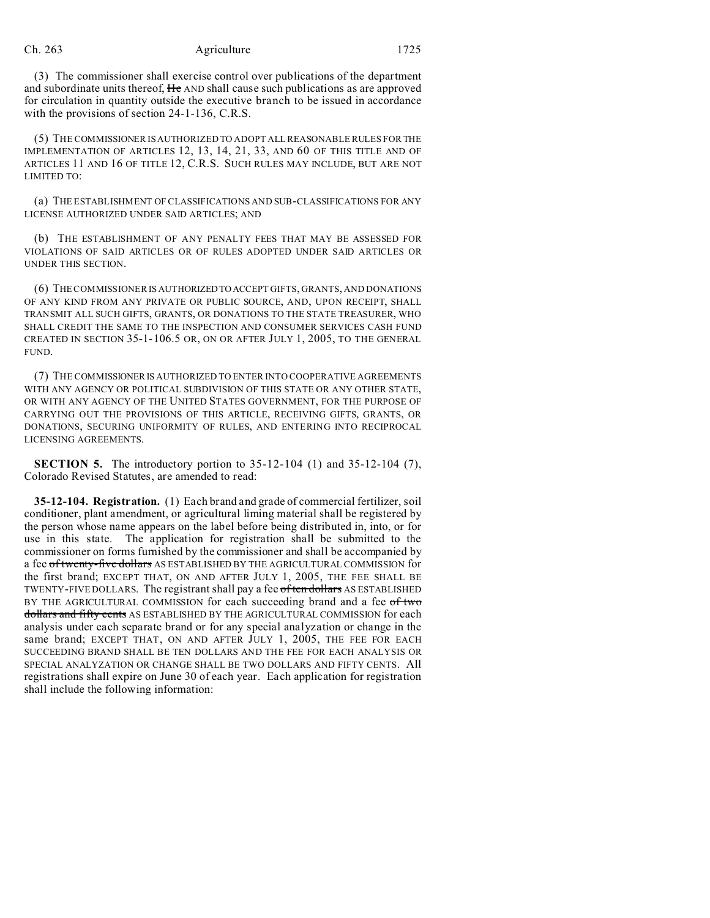## Ch. 263 Agriculture 1725

(3) The commissioner shall exercise control over publications of the department and subordinate units thereof, He AND shall cause such publications as are approved for circulation in quantity outside the executive branch to be issued in accordance with the provisions of section 24-1-136, C.R.S.

(5) THE COMMISSIONER IS AUTHORIZED TO ADOPT ALL REASONABLE RULES FOR THE IMPLEMENTATION OF ARTICLES 12, 13, 14, 21, 33, AND 60 OF THIS TITLE AND OF ARTICLES 11 AND 16 OF TITLE 12, C.R.S. SUCH RULES MAY INCLUDE, BUT ARE NOT LIMITED TO:

(a) THE ESTABLISHMENT OF CLASSIFICATIONS AND SUB-CLASSIFICATIONS FOR ANY LICENSE AUTHORIZED UNDER SAID ARTICLES; AND

(b) THE ESTABLISHMENT OF ANY PENALTY FEES THAT MAY BE ASSESSED FOR VIOLATIONS OF SAID ARTICLES OR OF RULES ADOPTED UNDER SAID ARTICLES OR UNDER THIS SECTION.

(6) THE COMMISSIONER IS AUTHORIZEDTO ACCEPT GIFTS, GRANTS, AND DONATIONS OF ANY KIND FROM ANY PRIVATE OR PUBLIC SOURCE, AND, UPON RECEIPT, SHALL TRANSMIT ALL SUCH GIFTS, GRANTS, OR DONATIONS TO THE STATE TREASURER, WHO SHALL CREDIT THE SAME TO THE INSPECTION AND CONSUMER SERVICES CASH FUND CREATED IN SECTION 35-1-106.5 OR, ON OR AFTER JULY 1, 2005, TO THE GENERAL FUND.

(7) THE COMMISSIONERIS AUTHORIZED TO ENTER INTO COOPERATIVE AGREEMENTS WITH ANY AGENCY OR POLITICAL SUBDIVISION OF THIS STATE OR ANY OTHER STATE, OR WITH ANY AGENCY OF THE UNITED STATES GOVERNMENT, FOR THE PURPOSE OF CARRYING OUT THE PROVISIONS OF THIS ARTICLE, RECEIVING GIFTS, GRANTS, OR DONATIONS, SECURING UNIFORMITY OF RULES, AND ENTERING INTO RECIPROCAL LICENSING AGREEMENTS.

**SECTION 5.** The introductory portion to 35-12-104 (1) and 35-12-104 (7), Colorado Revised Statutes, are amended to read:

**35-12-104. Registration.** (1) Each brand and grade of commercial fertilizer, soil conditioner, plant amendment, or agricultural liming material shall be registered by the person whose name appears on the label before being distributed in, into, or for use in this state. The application for registration shall be submitted to the commissioner on forms furnished by the commissioner and shall be accompanied by a fee of twenty-five dollars AS ESTABLISHED BY THE AGRICULTURAL COMMISSION for the first brand; EXCEPT THAT, ON AND AFTER JULY 1, 2005, THE FEE SHALL BE TWENTY-FIVE DOLLARS. The registrant shall pay a fee of ten dollars AS ESTABLISHED BY THE AGRICULTURAL COMMISSION for each succeeding brand and a fee of two dollars and fifty cents AS ESTABLISHED BY THE AGRICULTURAL COMMISSION for each analysis under each separate brand or for any special analyzation or change in the same brand; EXCEPT THAT, ON AND AFTER JULY 1, 2005, THE FEE FOR EACH SUCCEEDING BRAND SHALL BE TEN DOLLARS AND THE FEE FOR EACH ANALYSIS OR SPECIAL ANALYZATION OR CHANGE SHALL BE TWO DOLLARS AND FIFTY CENTS. All registrations shall expire on June 30 of each year. Each application for registration shall include the following information: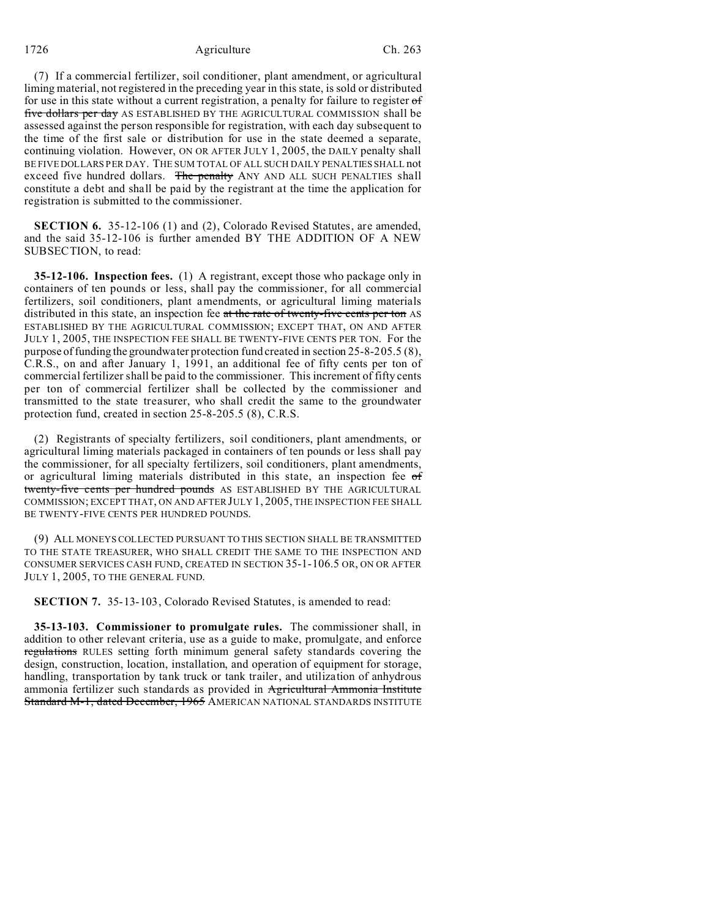(7) If a commercial fertilizer, soil conditioner, plant amendment, or agricultural liming material, not registered in the preceding year in this state, is sold or distributed for use in this state without a current registration, a penalty for failure to register  $\sigma f$ five dollars per day AS ESTABLISHED BY THE AGRICULTURAL COMMISSION shall be assessed against the person responsible for registration, with each day subsequent to the time of the first sale or distribution for use in the state deemed a separate, continuing violation. However, ON OR AFTER JULY 1, 2005, the DAILY penalty shall BE FIVE DOLLARS PER DAY. THE SUM TOTAL OF ALL SUCH DAILY PENALTIES SHALL not exceed five hundred dollars. The penalty ANY AND ALL SUCH PENALTIES shall constitute a debt and shall be paid by the registrant at the time the application for registration is submitted to the commissioner.

**SECTION 6.** 35-12-106 (1) and (2), Colorado Revised Statutes, are amended, and the said 35-12-106 is further amended BY THE ADDITION OF A NEW SUBSECTION, to read:

**35-12-106. Inspection fees.** (1) A registrant, except those who package only in containers of ten pounds or less, shall pay the commissioner, for all commercial fertilizers, soil conditioners, plant amendments, or agricultural liming materials distributed in this state, an inspection fee at the rate of twenty-five cents per ton AS ESTABLISHED BY THE AGRICULTURAL COMMISSION; EXCEPT THAT, ON AND AFTER JULY 1, 2005, THE INSPECTION FEE SHALL BE TWENTY-FIVE CENTS PER TON. For the purpose of funding the groundwater protection fund created in section 25-8-205.5 (8), C.R.S., on and after January 1, 1991, an additional fee of fifty cents per ton of commercial fertilizer shall be paid to the commissioner. This increment of fifty cents per ton of commercial fertilizer shall be collected by the commissioner and transmitted to the state treasurer, who shall credit the same to the groundwater protection fund, created in section 25-8-205.5 (8), C.R.S.

(2) Registrants of specialty fertilizers, soil conditioners, plant amendments, or agricultural liming materials packaged in containers of ten pounds or less shall pay the commissioner, for all specialty fertilizers, soil conditioners, plant amendments, or agricultural liming materials distributed in this state, an inspection fee of twenty-five cents per hundred pounds AS ESTABLISHED BY THE AGRICULTURAL COMMISSION; EXCEPT THAT, ON AND AFTER JULY 1, 2005, THE INSPECTION FEE SHALL BE TWENTY-FIVE CENTS PER HUNDRED POUNDS.

(9) ALL MONEYS COLLECTED PURSUANT TO THIS SECTION SHALL BE TRANSMITTED TO THE STATE TREASURER, WHO SHALL CREDIT THE SAME TO THE INSPECTION AND CONSUMER SERVICES CASH FUND, CREATED IN SECTION 35-1-106.5 OR, ON OR AFTER JULY 1, 2005, TO THE GENERAL FUND.

**SECTION 7.** 35-13-103, Colorado Revised Statutes, is amended to read:

**35-13-103. Commissioner to promulgate rules.** The commissioner shall, in addition to other relevant criteria, use as a guide to make, promulgate, and enforce regulations RULES setting forth minimum general safety standards covering the design, construction, location, installation, and operation of equipment for storage, handling, transportation by tank truck or tank trailer, and utilization of anhydrous ammonia fertilizer such standards as provided in Agricultural Ammonia Institute Standard M-1, dated December, 1965 AMERICAN NATIONAL STANDARDS INSTITUTE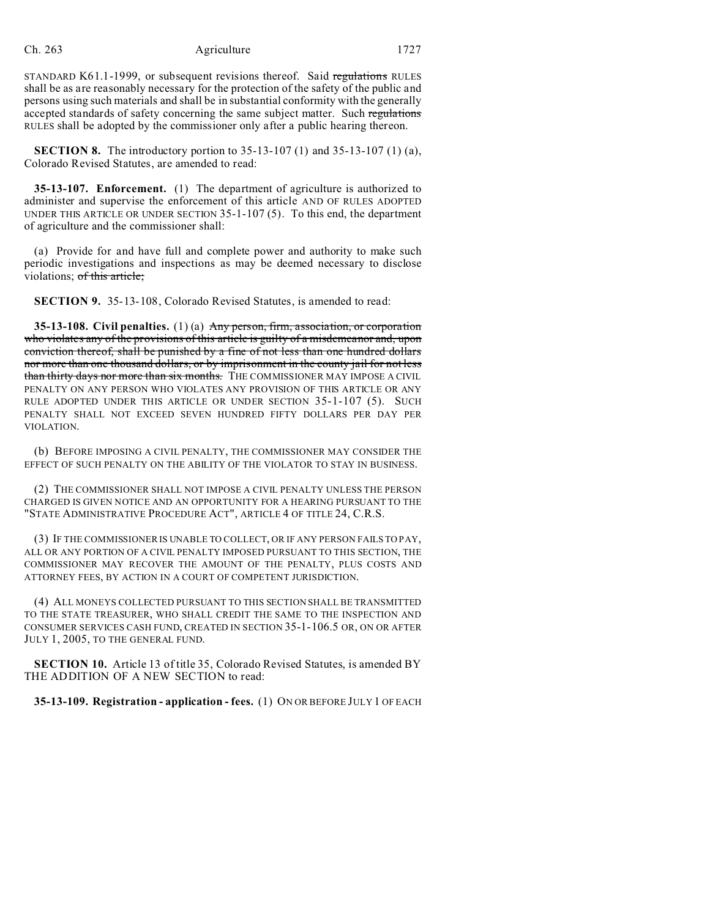#### Ch. 263 Agriculture 1727

STANDARD K61.1-1999, or subsequent revisions thereof. Said regulations RULES shall be as are reasonably necessary for the protection of the safety of the public and persons using such materials and shall be in substantial conformity with the generally accepted standards of safety concerning the same subject matter. Such regulations RULES shall be adopted by the commissioner only after a public hearing thereon.

**SECTION 8.** The introductory portion to 35-13-107 (1) and 35-13-107 (1) (a), Colorado Revised Statutes, are amended to read:

**35-13-107. Enforcement.** (1) The department of agriculture is authorized to administer and supervise the enforcement of this article AND OF RULES ADOPTED UNDER THIS ARTICLE OR UNDER SECTION  $35-1-107(5)$ . To this end, the department of agriculture and the commissioner shall:

(a) Provide for and have full and complete power and authority to make such periodic investigations and inspections as may be deemed necessary to disclose violations; of this article;

**SECTION 9.** 35-13-108, Colorado Revised Statutes, is amended to read:

**35-13-108. Civil penalties.** (1) (a) Any person, firm, association, or corporation who violates any of the provisions of this article is guilty of a misdemeanor and, upon conviction thereof, shall be punished by a fine of not less than one hundred dollars nor more than one thousand dollars, or by imprisonment in the county jail for not less than thirty days nor more than six months. THE COMMISSIONER MAY IMPOSE A CIVIL PENALTY ON ANY PERSON WHO VIOLATES ANY PROVISION OF THIS ARTICLE OR ANY RULE ADOPTED UNDER THIS ARTICLE OR UNDER SECTION 35-1-107 (5). SUCH PENALTY SHALL NOT EXCEED SEVEN HUNDRED FIFTY DOLLARS PER DAY PER VIOLATION.

(b) BEFORE IMPOSING A CIVIL PENALTY, THE COMMISSIONER MAY CONSIDER THE EFFECT OF SUCH PENALTY ON THE ABILITY OF THE VIOLATOR TO STAY IN BUSINESS.

(2) THE COMMISSIONER SHALL NOT IMPOSE A CIVIL PENALTY UNLESS THE PERSON CHARGED IS GIVEN NOTICE AND AN OPPORTUNITY FOR A HEARING PURSUANT TO THE "STATE ADMINISTRATIVE PROCEDURE ACT", ARTICLE 4 OF TITLE 24, C.R.S.

(3) IF THE COMMISSIONER IS UNABLE TO COLLECT, OR IF ANY PERSON FAILS TO PAY, ALL OR ANY PORTION OF A CIVIL PENALTY IMPOSED PURSUANT TO THIS SECTION, THE COMMISSIONER MAY RECOVER THE AMOUNT OF THE PENALTY, PLUS COSTS AND ATTORNEY FEES, BY ACTION IN A COURT OF COMPETENT JURISDICTION.

(4) ALL MONEYS COLLECTED PURSUANT TO THIS SECTION SHALL BE TRANSMITTED TO THE STATE TREASURER, WHO SHALL CREDIT THE SAME TO THE INSPECTION AND CONSUMER SERVICES CASH FUND, CREATED IN SECTION 35-1-106.5 OR, ON OR AFTER JULY 1, 2005, TO THE GENERAL FUND.

**SECTION 10.** Article 13 of title 35, Colorado Revised Statutes, is amended BY THE ADDITION OF A NEW SECTION to read:

**35-13-109. Registration - application - fees.** (1) ON OR BEFORE JULY 1 OF EACH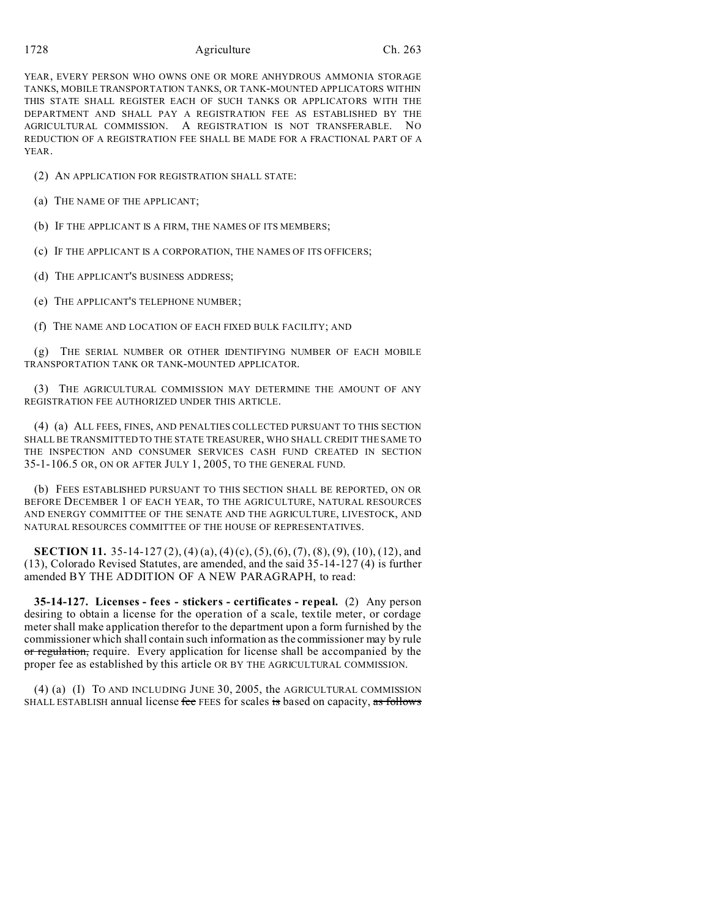YEAR, EVERY PERSON WHO OWNS ONE OR MORE ANHYDROUS AMMONIA STORAGE TANKS, MOBILE TRANSPORTATION TANKS, OR TANK-MOUNTED APPLICATORS WITHIN THIS STATE SHALL REGISTER EACH OF SUCH TANKS OR APPLICATORS WITH THE DEPARTMENT AND SHALL PAY A REGISTRATION FEE AS ESTABLISHED BY THE AGRICULTURAL COMMISSION. A REGISTRATION IS NOT TRANSFERABLE. NO REDUCTION OF A REGISTRATION FEE SHALL BE MADE FOR A FRACTIONAL PART OF A YEAR.

(2) AN APPLICATION FOR REGISTRATION SHALL STATE:

(a) THE NAME OF THE APPLICANT;

(b) IF THE APPLICANT IS A FIRM, THE NAMES OF ITS MEMBERS;

(c) IF THE APPLICANT IS A CORPORATION, THE NAMES OF ITS OFFICERS;

(d) THE APPLICANT'S BUSINESS ADDRESS;

(e) THE APPLICANT'S TELEPHONE NUMBER;

(f) THE NAME AND LOCATION OF EACH FIXED BULK FACILITY; AND

(g) THE SERIAL NUMBER OR OTHER IDENTIFYING NUMBER OF EACH MOBILE TRANSPORTATION TANK OR TANK-MOUNTED APPLICATOR.

(3) THE AGRICULTURAL COMMISSION MAY DETERMINE THE AMOUNT OF ANY REGISTRATION FEE AUTHORIZED UNDER THIS ARTICLE.

(4) (a) ALL FEES, FINES, AND PENALTIES COLLECTED PURSUANT TO THIS SECTION SHALL BE TRANSMITTED TO THE STATE TREASURER, WHO SHALL CREDIT THE SAME TO THE INSPECTION AND CONSUMER SERVICES CASH FUND CREATED IN SECTION 35-1-106.5 OR, ON OR AFTER JULY 1, 2005, TO THE GENERAL FUND.

(b) FEES ESTABLISHED PURSUANT TO THIS SECTION SHALL BE REPORTED, ON OR BEFORE DECEMBER 1 OF EACH YEAR, TO THE AGRICULTURE, NATURAL RESOURCES AND ENERGY COMMITTEE OF THE SENATE AND THE AGRICULTURE, LIVESTOCK, AND NATURAL RESOURCES COMMITTEE OF THE HOUSE OF REPRESENTATIVES.

**SECTION 11.** 35-14-127 (2), (4) (a), (4) (c), (5), (6), (7), (8), (9), (10), (12), and (13), Colorado Revised Statutes, are amended, and the said 35-14-127 (4) is further amended BY THE ADDITION OF A NEW PARAGRAPH, to read:

**35-14-127. Licenses - fees - stickers - certificates - repeal.** (2) Any person desiring to obtain a license for the operation of a scale, textile meter, or cordage meter shall make application therefor to the department upon a form furnished by the commissioner which shall contain such information as the commissioner may by rule or regulation, require. Every application for license shall be accompanied by the proper fee as established by this article OR BY THE AGRICULTURAL COMMISSION.

(4) (a) (I) TO AND INCLUDING JUNE 30, 2005, the AGRICULTURAL COMMISSION SHALL ESTABLISH annual license fee FEES for scales is based on capacity, as follows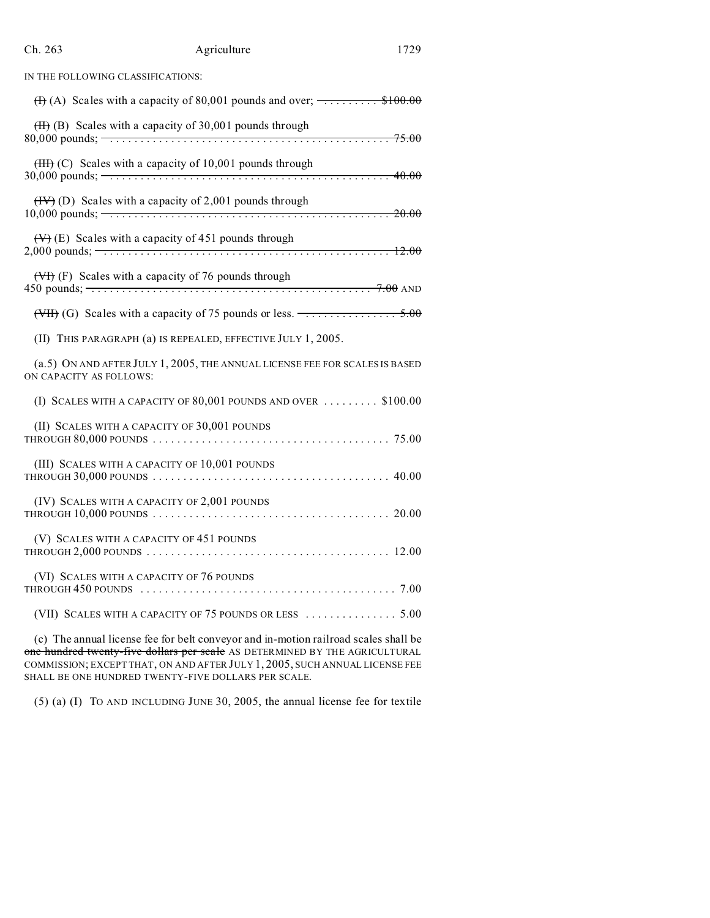IN THE FOLLOWING CLASSIFICATIONS:

| (H) (A) Scales with a capacity of 80,001 pounds and over; $\frac{1}{1!}$ \$100.00                                                          |
|--------------------------------------------------------------------------------------------------------------------------------------------|
| $(H)$ (B) Scales with a capacity of 30,001 pounds through<br>80,000 pounds; $\frac{3.75 \times 10^{-11}}{2000 \times 10^{-11}}$            |
| $(HH)$ (C) Scales with a capacity of 10,001 pounds through                                                                                 |
| $(HV)$ (D) Scales with a capacity of 2,001 pounds through                                                                                  |
| $(\forall)$ (E) Scales with a capacity of 451 pounds through                                                                               |
| $(\forall f)$ (F) Scales with a capacity of 76 pounds through                                                                              |
| $(\overline{\text{VH}})$ (G) Scales with a capacity of 75 pounds or less. $\overline{\cdots}$ $\overline{\cdots}$ $\overline{\cdots}$ 5.00 |
| (II) THIS PARAGRAPH (a) IS REPEALED, EFFECTIVE JULY 1, 2005.                                                                               |
| (a.5) ON AND AFTER JULY 1, 2005, THE ANNUAL LICENSE FEE FOR SCALES IS BASED<br>ON CAPACITY AS FOLLOWS:                                     |
| (I) SCALES WITH A CAPACITY OF $80,001$ pounds and over  \$100.00                                                                           |
| (II) SCALES WITH A CAPACITY OF 30,001 POUNDS                                                                                               |
| (III) SCALES WITH A CAPACITY OF 10,001 POUNDS                                                                                              |
| (IV) SCALES WITH A CAPACITY OF 2,001 POUNDS                                                                                                |
| (V) SCALES WITH A CAPACITY OF 451 POUNDS                                                                                                   |
| (VI) SCALES WITH A CAPACITY OF 76 POUNDS                                                                                                   |
| (VII) SCALES WITH A CAPACITY OF 75 POUNDS OR LESS  5.00                                                                                    |
| (c) The annual license fee for belt conveyor and in-motion railroad scales shall be                                                        |

<del>one hundred twenty-five dollars per scale</del> AS DETERMINED BY THE AGRICULTURAL COMMISSION; EXCEPT THAT, ON AND AFTER JULY 1, 2005, SUCH ANNUAL LICENSE FEE SHALL BE ONE HUNDRED TWENTY-FIVE DOLLARS PER SCALE.

(5) (a) (I) TO AND INCLUDING JUNE 30, 2005, the annual license fee for textile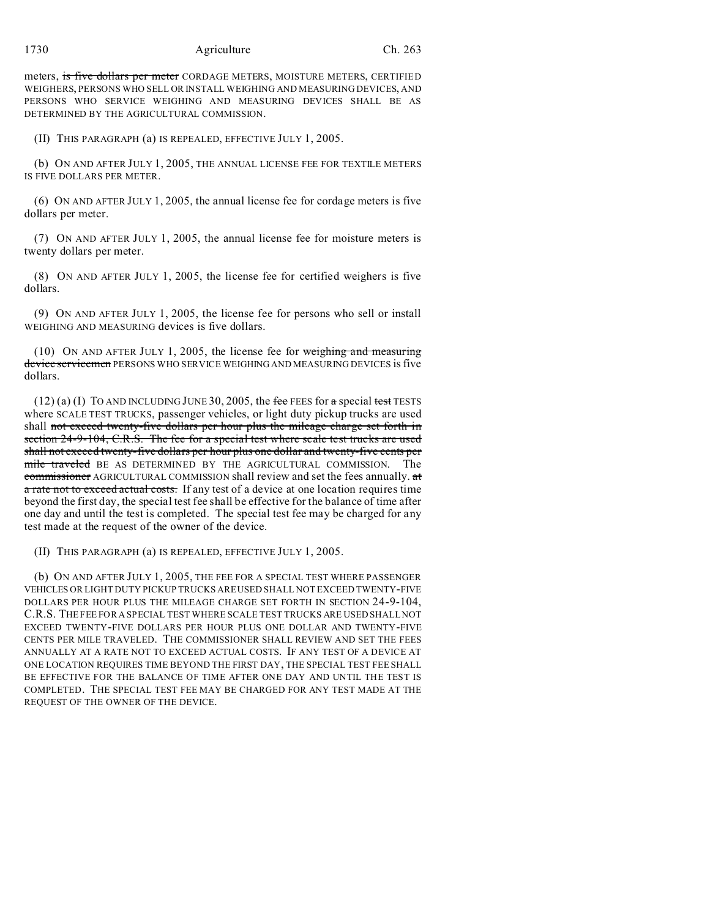meters, is five dollars per meter CORDAGE METERS, MOISTURE METERS, CERTIFIED WEIGHERS, PERSONS WHO SELL OR INSTALL WEIGHING AND MEASURING DEVICES, AND PERSONS WHO SERVICE WEIGHING AND MEASURING DEVICES SHALL BE AS DETERMINED BY THE AGRICULTURAL COMMISSION.

(II) THIS PARAGRAPH (a) IS REPEALED, EFFECTIVE JULY 1, 2005.

(b) ON AND AFTER JULY 1, 2005, THE ANNUAL LICENSE FEE FOR TEXTILE METERS IS FIVE DOLLARS PER METER.

(6) ON AND AFTER JULY 1, 2005, the annual license fee for cordage meters is five dollars per meter.

(7) ON AND AFTER JULY 1, 2005, the annual license fee for moisture meters is twenty dollars per meter.

(8) ON AND AFTER JULY 1, 2005, the license fee for certified weighers is five dollars.

(9) ON AND AFTER JULY 1, 2005, the license fee for persons who sell or install WEIGHING AND MEASURING devices is five dollars.

(10) ON AND AFTER JULY 1, 2005, the license fee for weighing and measuring device servicemen PERSONS WHO SERVICE WEIGHING AND MEASURING DEVICES is five dollars.

(12) (a) (I) TO AND INCLUDING JUNE 30, 2005, the fee FEES for a special test TESTS where SCALE TEST TRUCKS, passenger vehicles, or light duty pickup trucks are used shall not exceed twenty-five dollars per hour plus the mileage charge set forth in section 24-9-104, C.R.S. The fee for a special test where scale test trucks are used shall not exceed twenty-five dollars per hour plus one dollar and twenty-five cents per mile traveled BE AS DETERMINED BY THE AGRICULTURAL COMMISSION. The commissioner AGRICULTURAL COMMISSION shall review and set the fees annually. at a rate not to exceed actual costs. If any test of a device at one location requires time beyond the first day, the special test fee shall be effective for the balance of time after one day and until the test is completed. The special test fee may be charged for any test made at the request of the owner of the device.

(II) THIS PARAGRAPH (a) IS REPEALED, EFFECTIVE JULY 1, 2005.

(b) ON AND AFTER JULY 1, 2005, THE FEE FOR A SPECIAL TEST WHERE PASSENGER VEHICLES OR LIGHT DUTY PICKUP TRUCKS ARE USED SHALL NOT EXCEED TWENTY-FIVE DOLLARS PER HOUR PLUS THE MILEAGE CHARGE SET FORTH IN SECTION 24-9-104, C.R.S. THE FEE FOR A SPECIAL TEST WHERE SCALE TEST TRUCKS ARE USED SHALL NOT EXCEED TWENTY-FIVE DOLLARS PER HOUR PLUS ONE DOLLAR AND TWENTY-FIVE CENTS PER MILE TRAVELED. THE COMMISSIONER SHALL REVIEW AND SET THE FEES ANNUALLY AT A RATE NOT TO EXCEED ACTUAL COSTS. IF ANY TEST OF A DEVICE AT ONE LOCATION REQUIRES TIME BEYOND THE FIRST DAY, THE SPECIAL TEST FEE SHALL BE EFFECTIVE FOR THE BALANCE OF TIME AFTER ONE DAY AND UNTIL THE TEST IS COMPLETED. THE SPECIAL TEST FEE MAY BE CHARGED FOR ANY TEST MADE AT THE REQUEST OF THE OWNER OF THE DEVICE.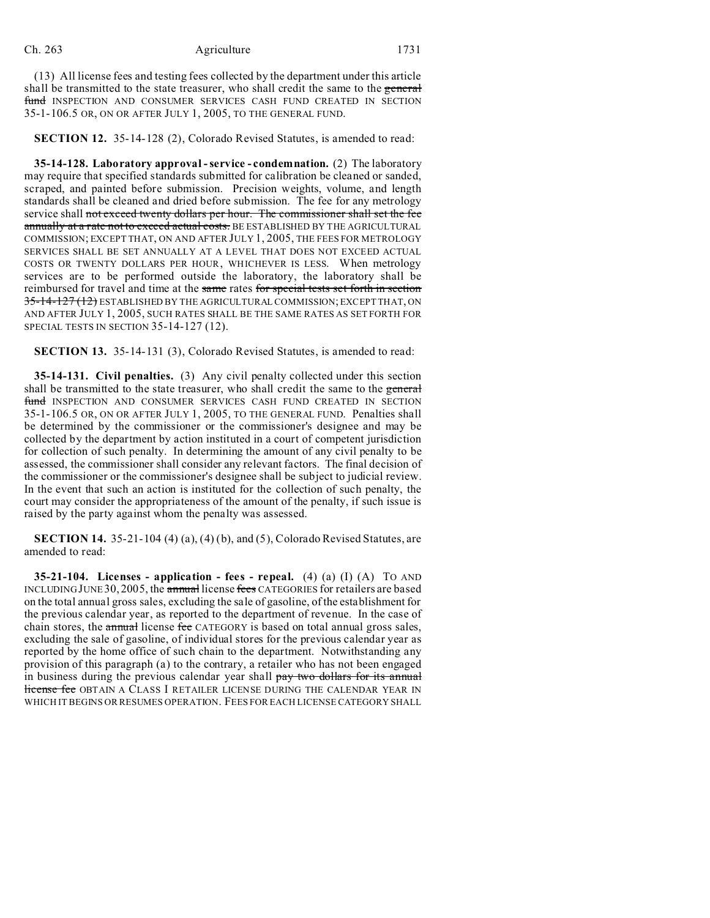(13) All license fees and testing fees collected by the department under this article shall be transmitted to the state treasurer, who shall credit the same to the general fund INSPECTION AND CONSUMER SERVICES CASH FUND CREATED IN SECTION 35-1-106.5 OR, ON OR AFTER JULY 1, 2005, TO THE GENERAL FUND.

**SECTION 12.** 35-14-128 (2), Colorado Revised Statutes, is amended to read:

**35-14-128. Laboratory approval - service - condemnation.** (2) The laboratory may require that specified standards submitted for calibration be cleaned or sanded, scraped, and painted before submission. Precision weights, volume, and length standards shall be cleaned and dried before submission. The fee for any metrology service shall not exceed twenty dollars per hour. The commissioner shall set the fee annually at a rate not to exceed actual costs. BE ESTABLISHED BY THE AGRICULTURAL COMMISSION; EXCEPT THAT, ON AND AFTER JULY 1, 2005, THE FEES FOR METROLOGY SERVICES SHALL BE SET ANNUALLY AT A LEVEL THAT DOES NOT EXCEED ACTUAL COSTS OR TWENTY DOLLARS PER HOUR, WHICHEVER IS LESS. When metrology services are to be performed outside the laboratory, the laboratory shall be reimbursed for travel and time at the same rates for special tests set forth in section 35-14-127 (12) ESTABLISHED BY THE AGRICULTURAL COMMISSION; EXCEPT THAT, ON AND AFTER JULY 1, 2005, SUCH RATES SHALL BE THE SAME RATES AS SET FORTH FOR SPECIAL TESTS IN SECTION 35-14-127 (12).

**SECTION 13.** 35-14-131 (3), Colorado Revised Statutes, is amended to read:

**35-14-131. Civil penalties.** (3) Any civil penalty collected under this section shall be transmitted to the state treasurer, who shall credit the same to the general fund INSPECTION AND CONSUMER SERVICES CASH FUND CREATED IN SECTION 35-1-106.5 OR, ON OR AFTER JULY 1, 2005, TO THE GENERAL FUND. Penalties shall be determined by the commissioner or the commissioner's designee and may be collected by the department by action instituted in a court of competent jurisdiction for collection of such penalty. In determining the amount of any civil penalty to be assessed, the commissioner shall consider any relevant factors. The final decision of the commissioner or the commissioner's designee shall be subject to judicial review. In the event that such an action is instituted for the collection of such penalty, the court may consider the appropriateness of the amount of the penalty, if such issue is raised by the party against whom the penalty was assessed.

**SECTION 14.** 35-21-104 (4) (a), (4) (b), and (5), Colorado Revised Statutes, are amended to read:

**35-21-104. Licenses - application - fees - repeal.** (4) (a) (I) (A) TO AND INCLUDING JUNE 30, 2005, the annual license fees CATEGORIES for retailers are based on the total annual gross sales, excluding the sale of gasoline, of the establishment for the previous calendar year, as reported to the department of revenue. In the case of chain stores, the **annual** license fee CATEGORY is based on total annual gross sales, excluding the sale of gasoline, of individual stores for the previous calendar year as reported by the home office of such chain to the department. Notwithstanding any provision of this paragraph (a) to the contrary, a retailer who has not been engaged in business during the previous calendar year shall pay two dollars for its annual license fee OBTAIN A CLASS I RETAILER LICENSE DURING THE CALENDAR YEAR IN WHICH IT BEGINS OR RESUMES OPERATION. FEES FOR EACH LICENSE CATEGORY SHALL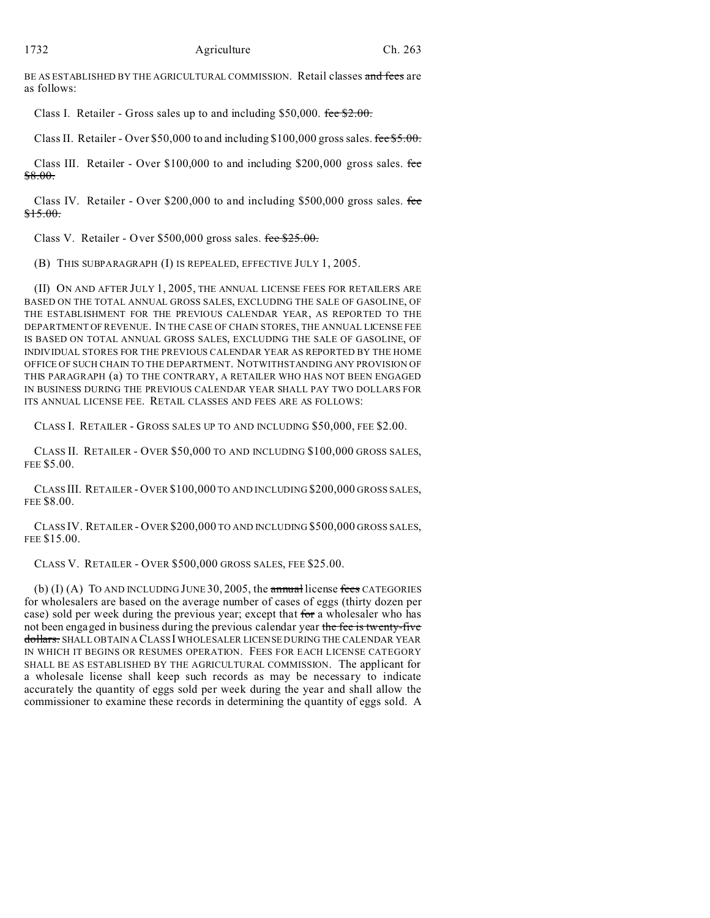BE AS ESTABLISHED BY THE AGRICULTURAL COMMISSION. Retail classes and fees are as follows:

Class I. Retailer - Gross sales up to and including \$50,000. fee \$2.00.

Class II. Retailer - Over \$50,000 to and including \$100,000 gross sales. fee \$5.00.

Class III. Retailer - Over  $$100,000$  to and including  $$200,000$  gross sales. free \$8.00.

Class IV. Retailer - Over  $$200,000$  to and including \$500,000 gross sales. free  $$15.00.$ 

Class V. Retailer - Over \$500,000 gross sales. fee \$25.00.

(B) THIS SUBPARAGRAPH (I) IS REPEALED, EFFECTIVE JULY 1, 2005.

(II) ON AND AFTER JULY 1, 2005, THE ANNUAL LICENSE FEES FOR RETAILERS ARE BASED ON THE TOTAL ANNUAL GROSS SALES, EXCLUDING THE SALE OF GASOLINE, OF THE ESTABLISHMENT FOR THE PREVIOUS CALENDAR YEAR, AS REPORTED TO THE DEPARTMENT OF REVENUE. IN THE CASE OF CHAIN STORES, THE ANNUAL LICENSE FEE IS BASED ON TOTAL ANNUAL GROSS SALES, EXCLUDING THE SALE OF GASOLINE, OF INDIVIDUAL STORES FOR THE PREVIOUS CALENDAR YEAR AS REPORTED BY THE HOME OFFICE OF SUCH CHAIN TO THE DEPARTMENT. NOTWITHSTANDING ANY PROVISION OF THIS PARAGRAPH (a) TO THE CONTRARY, A RETAILER WHO HAS NOT BEEN ENGAGED IN BUSINESS DURING THE PREVIOUS CALENDAR YEAR SHALL PAY TWO DOLLARS FOR ITS ANNUAL LICENSE FEE. RETAIL CLASSES AND FEES ARE AS FOLLOWS:

CLASS I. RETAILER - GROSS SALES UP TO AND INCLUDING \$50,000, FEE \$2.00.

CLASS II. RETAILER - OVER \$50,000 TO AND INCLUDING \$100,000 GROSS SALES, FEE \$5.00.

CLASS III. RETAILER - OVER \$100,000 TO AND INCLUDING \$200,000 GROSS SALES, FEE \$8.00.

CLASS IV. RETAILER - OVER \$200,000 TO AND INCLUDING \$500,000 GROSS SALES, FEE \$15.00.

CLASS V. RETAILER - OVER \$500,000 GROSS SALES, FEE \$25.00.

(b) (I) (A) TO AND INCLUDING JUNE 30, 2005, the annual license fees CATEGORIES for wholesalers are based on the average number of cases of eggs (thirty dozen per case) sold per week during the previous year; except that for a wholesaler who has not been engaged in business during the previous calendar year the fee is twenty-five dollars. SHALL OBTAIN A CLASS I WHOLESALER LICENSE DURING THE CALENDAR YEAR IN WHICH IT BEGINS OR RESUMES OPERATION. FEES FOR EACH LICENSE CATEGORY SHALL BE AS ESTABLISHED BY THE AGRICULTURAL COMMISSION. The applicant for a wholesale license shall keep such records as may be necessary to indicate accurately the quantity of eggs sold per week during the year and shall allow the commissioner to examine these records in determining the quantity of eggs sold. A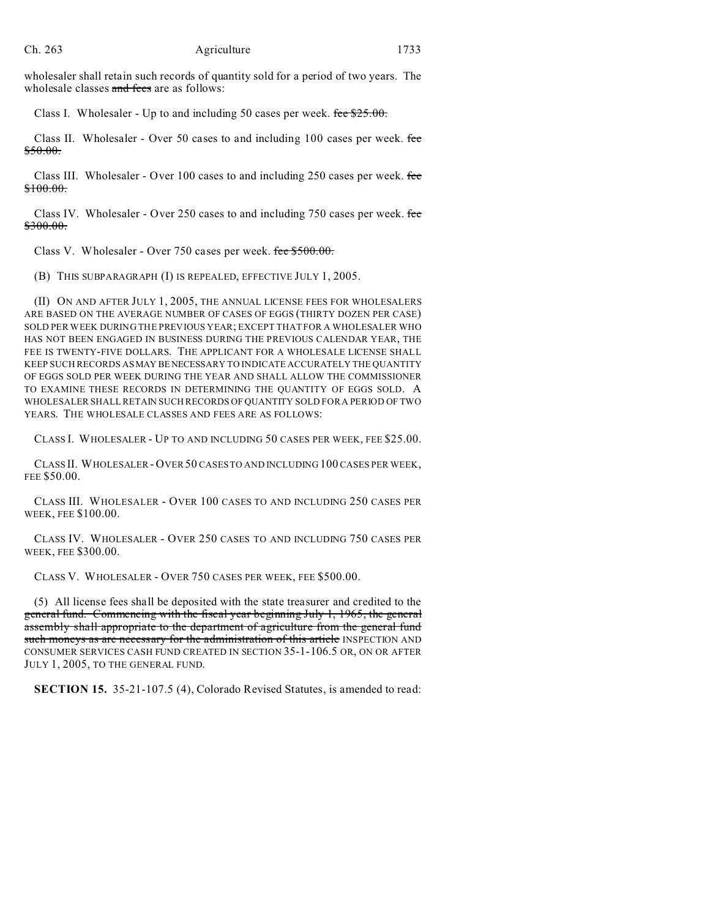wholesaler shall retain such records of quantity sold for a period of two years. The wholesale classes and fees are as follows:

Class I. Wholesaler - Up to and including 50 cases per week. fee \$25.00.

Class II. Wholesaler - Over 50 cases to and including 100 cases per week. fee \$50.00.

Class III. Wholesaler - Over 100 cases to and including 250 cases per week. free \$100.00.

Class IV. Wholesaler - Over 250 cases to and including 750 cases per week. free \$300.00.

Class V. Wholesaler - Over 750 cases per week. fee \$500.00.

(B) THIS SUBPARAGRAPH (I) IS REPEALED, EFFECTIVE JULY 1, 2005.

(II) ON AND AFTER JULY 1, 2005, THE ANNUAL LICENSE FEES FOR WHOLESALERS ARE BASED ON THE AVERAGE NUMBER OF CASES OF EGGS (THIRTY DOZEN PER CASE) SOLD PER WEEK DURING THE PREVIOUS YEAR; EXCEPT THAT FOR A WHOLESALER WHO HAS NOT BEEN ENGAGED IN BUSINESS DURING THE PREVIOUS CALENDAR YEAR, THE FEE IS TWENTY-FIVE DOLLARS. THE APPLICANT FOR A WHOLESALE LICENSE SHALL KEEP SUCH RECORDS AS MAY BENECESSARY TO INDICATE ACCURATELY THE QUANTITY OF EGGS SOLD PER WEEK DURING THE YEAR AND SHALL ALLOW THE COMMISSIONER TO EXAMINE THESE RECORDS IN DETERMINING THE QUANTITY OF EGGS SOLD. A WHOLESALER SHALL RETAIN SUCH RECORDS OF QUANTITY SOLD FOR A PERIOD OF TWO YEARS. THE WHOLESALE CLASSES AND FEES ARE AS FOLLOWS:

CLASS I. WHOLESALER - UP TO AND INCLUDING 50 CASES PER WEEK, FEE \$25.00.

CLASS II. WHOLESALER - OVER 50 CASES TO AND INCLUDING 100 CASES PER WEEK, FEE \$50.00.

CLASS III. WHOLESALER - OVER 100 CASES TO AND INCLUDING 250 CASES PER WEEK, FEE \$100.00.

CLASS IV. WHOLESALER - OVER 250 CASES TO AND INCLUDING 750 CASES PER WEEK, FEE \$300.00.

CLASS V. WHOLESALER - OVER 750 CASES PER WEEK, FEE \$500.00.

(5) All license fees shall be deposited with the state treasurer and credited to the general fund. Commencing with the fiscal year beginning July 1, 1965, the general assembly shall appropriate to the department of agriculture from the general fund such moneys as are necessary for the administration of this article INSPECTION AND CONSUMER SERVICES CASH FUND CREATED IN SECTION 35-1-106.5 OR, ON OR AFTER JULY 1, 2005, TO THE GENERAL FUND.

**SECTION 15.** 35-21-107.5 (4), Colorado Revised Statutes, is amended to read: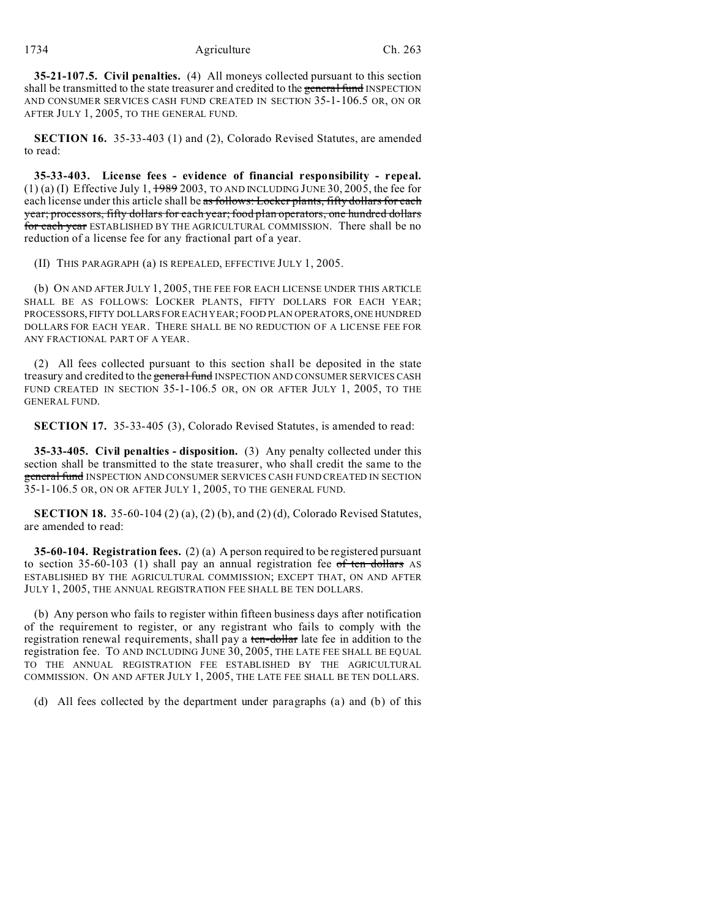**35-21-107.5. Civil penalties.** (4) All moneys collected pursuant to this section shall be transmitted to the state treasurer and credited to the general fund INSPECTION AND CONSUMER SERVICES CASH FUND CREATED IN SECTION 35-1-106.5 OR, ON OR AFTER JULY 1, 2005, TO THE GENERAL FUND.

**SECTION 16.** 35-33-403 (1) and (2), Colorado Revised Statutes, are amended to read:

**35-33-403. License fees - evidence of financial responsibility - repeal.**  $(1)$  (a) (I) Effective July 1,  $\frac{1989}{2003}$ , TO AND INCLUDING JUNE 30, 2005, the fee for each license under this article shall be as follows: Locker plants, fifty dollars for each year; processors, fifty dollars for each year; food plan operators, one hundred dollars for each year ESTABLISHED BY THE AGRICULTURAL COMMISSION. There shall be no reduction of a license fee for any fractional part of a year.

(II) THIS PARAGRAPH (a) IS REPEALED, EFFECTIVE JULY 1, 2005.

(b) ON AND AFTER JULY 1, 2005, THE FEE FOR EACH LICENSE UNDER THIS ARTICLE SHALL BE AS FOLLOWS: LOCKER PLANTS, FIFTY DOLLARS FOR EACH YEAR; PROCESSORS, FIFTY DOLLARS FOR EACH YEAR; FOOD PLAN OPERATORS,ONE HUNDRED DOLLARS FOR EACH YEAR. THERE SHALL BE NO REDUCTION OF A LICENSE FEE FOR ANY FRACTIONAL PART OF A YEAR.

(2) All fees collected pursuant to this section shall be deposited in the state treasury and credited to the general fund INSPECTION AND CONSUMER SERVICES CASH FUND CREATED IN SECTION 35-1-106.5 OR, ON OR AFTER JULY 1, 2005, TO THE GENERAL FUND.

**SECTION 17.** 35-33-405 (3), Colorado Revised Statutes, is amended to read:

**35-33-405. Civil penalties - disposition.** (3) Any penalty collected under this section shall be transmitted to the state treasurer, who shall credit the same to the general fund INSPECTION AND CONSUMER SERVICES CASH FUND CREATED IN SECTION 35-1-106.5 OR, ON OR AFTER JULY 1, 2005, TO THE GENERAL FUND.

**SECTION 18.** 35-60-104 (2) (a), (2) (b), and (2) (d), Colorado Revised Statutes, are amended to read:

**35-60-104. Registration fees.** (2) (a) A person required to be registered pursuant to section 35-60-103 (1) shall pay an annual registration fee of ten dollars AS ESTABLISHED BY THE AGRICULTURAL COMMISSION; EXCEPT THAT, ON AND AFTER JULY 1, 2005, THE ANNUAL REGISTRATION FEE SHALL BE TEN DOLLARS.

(b) Any person who fails to register within fifteen business days after notification of the requirement to register, or any registrant who fails to comply with the registration renewal requirements, shall pay a ten-dollar late fee in addition to the registration fee. TO AND INCLUDING JUNE 30, 2005, THE LATE FEE SHALL BE EQUAL TO THE ANNUAL REGISTRATION FEE ESTABLISHED BY THE AGRICULTURAL COMMISSION. ON AND AFTER JULY 1, 2005, THE LATE FEE SHALL BE TEN DOLLARS.

(d) All fees collected by the department under paragraphs (a) and (b) of this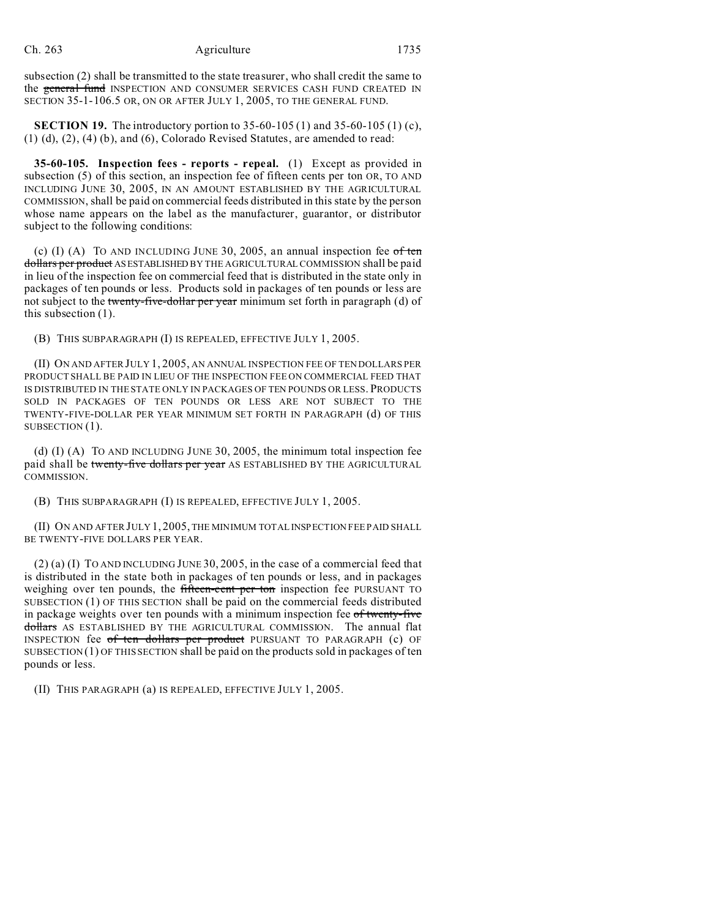subsection (2) shall be transmitted to the state treasurer, who shall credit the same to the general fund INSPECTION AND CONSUMER SERVICES CASH FUND CREATED IN SECTION 35-1-106.5 OR, ON OR AFTER JULY 1, 2005, TO THE GENERAL FUND.

**SECTION 19.** The introductory portion to 35-60-105 (1) and 35-60-105 (1) (c),  $(1)$   $(d)$ ,  $(2)$ ,  $(4)$   $(b)$ , and  $(6)$ , Colorado Revised Statutes, are amended to read:

**35-60-105. Inspection fees - reports - repeal.** (1) Except as provided in subsection (5) of this section, an inspection fee of fifteen cents per ton OR, TO AND INCLUDING JUNE 30, 2005, IN AN AMOUNT ESTABLISHED BY THE AGRICULTURAL COMMISSION, shall be paid on commercial feeds distributed in this state by the person whose name appears on the label as the manufacturer, guarantor, or distributor subject to the following conditions:

(c) (I) (A) TO AND INCLUDING JUNE 30, 2005, an annual inspection fee of ten dollars per product AS ESTABLISHED BY THE AGRICULTURAL COMMISSION shall be paid in lieu of the inspection fee on commercial feed that is distributed in the state only in packages of ten pounds or less. Products sold in packages of ten pounds or less are not subject to the twenty-five-dollar per year minimum set forth in paragraph (d) of this subsection (1).

(B) THIS SUBPARAGRAPH (I) IS REPEALED, EFFECTIVE JULY 1, 2005.

(II) ON AND AFTER JULY 1, 2005, AN ANNUAL INSPECTION FEE OF TEN DOLLARS PER PRODUCT SHALL BE PAID IN LIEU OF THE INSPECTION FEE ON COMMERCIAL FEED THAT IS DISTRIBUTED IN THE STATE ONLY IN PACKAGES OF TEN POUNDS OR LESS. PRODUCTS SOLD IN PACKAGES OF TEN POUNDS OR LESS ARE NOT SUBJECT TO THE TWENTY-FIVE-DOLLAR PER YEAR MINIMUM SET FORTH IN PARAGRAPH (d) OF THIS SUBSECTION  $(1)$ .

(d) (I) (A) TO AND INCLUDING JUNE 30, 2005, the minimum total inspection fee paid shall be twenty-five dollars per year AS ESTABLISHED BY THE AGRICULTURAL COMMISSION.

(B) THIS SUBPARAGRAPH (I) IS REPEALED, EFFECTIVE JULY 1, 2005.

(II) ON AND AFTER JULY 1, 2005, THE MINIMUM TOTAL INSPECTION FEE PAID SHALL BE TWENTY-FIVE DOLLARS PER YEAR.

(2) (a) (I) TO AND INCLUDING JUNE 30, 2005, in the case of a commercial feed that is distributed in the state both in packages of ten pounds or less, and in packages weighing over ten pounds, the fifteen-cent per ton inspection fee PURSUANT TO SUBSECTION (1) OF THIS SECTION shall be paid on the commercial feeds distributed in package weights over ten pounds with a minimum inspection fee of twenty-five dollars AS ESTABLISHED BY THE AGRICULTURAL COMMISSION. The annual flat INSPECTION fee of ten dollars per product PURSUANT TO PARAGRAPH (c) OF SUBSECTION (1) OF THIS SECTION shall be paid on the products sold in packages of ten pounds or less.

(II) THIS PARAGRAPH (a) IS REPEALED, EFFECTIVE JULY 1, 2005.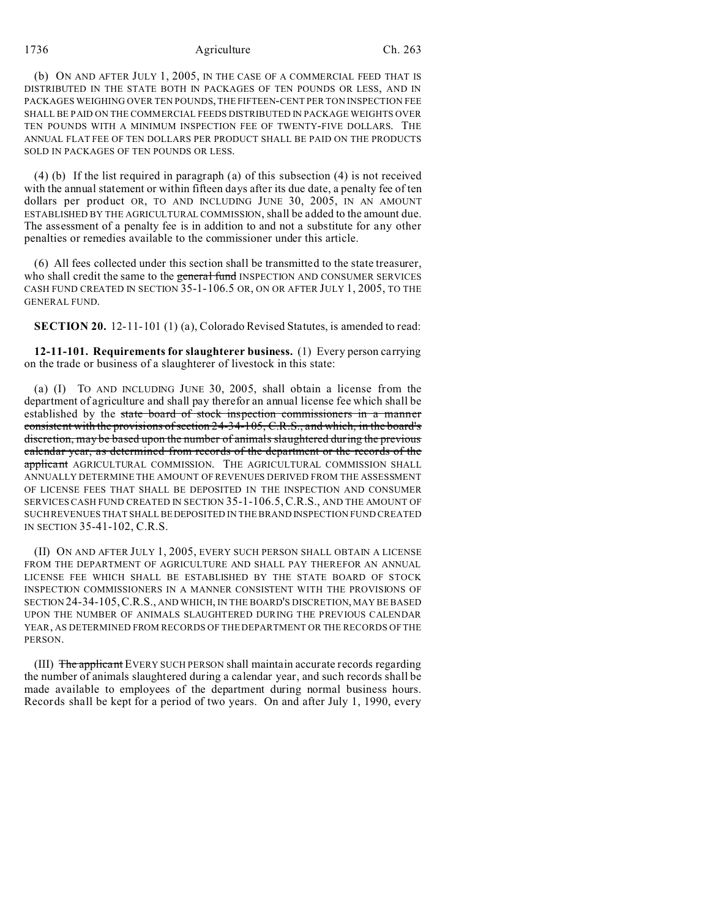(b) ON AND AFTER JULY 1, 2005, IN THE CASE OF A COMMERCIAL FEED THAT IS DISTRIBUTED IN THE STATE BOTH IN PACKAGES OF TEN POUNDS OR LESS, AND IN PACKAGES WEIGHING OVER TEN POUNDS, THE FIFTEEN-CENT PER TON INSPECTION FEE SHALL BE PAID ON THE COMMERCIAL FEEDS DISTRIBUTED IN PACKAGE WEIGHTS OVER TEN POUNDS WITH A MINIMUM INSPECTION FEE OF TWENTY-FIVE DOLLARS. THE ANNUAL FLAT FEE OF TEN DOLLARS PER PRODUCT SHALL BE PAID ON THE PRODUCTS SOLD IN PACKAGES OF TEN POUNDS OR LESS.

(4) (b) If the list required in paragraph (a) of this subsection (4) is not received with the annual statement or within fifteen days after its due date, a penalty fee of ten dollars per product OR, TO AND INCLUDING JUNE 30, 2005, IN AN AMOUNT ESTABLISHED BY THE AGRICULTURAL COMMISSION, shall be added to the amount due. The assessment of a penalty fee is in addition to and not a substitute for any other penalties or remedies available to the commissioner under this article.

(6) All fees collected under this section shall be transmitted to the state treasurer, who shall credit the same to the general fund INSPECTION AND CONSUMER SERVICES CASH FUND CREATED IN SECTION 35-1-106.5 OR, ON OR AFTER JULY 1, 2005, TO THE GENERAL FUND.

**SECTION 20.** 12-11-101 (1) (a), Colorado Revised Statutes, is amended to read:

**12-11-101. Requirements for slaughterer business.** (1) Every person carrying on the trade or business of a slaughterer of livestock in this state:

(a) (I) TO AND INCLUDING JUNE 30, 2005, shall obtain a license from the department of agriculture and shall pay therefor an annual license fee which shall be established by the state board of stock inspection commissioners in a manner consistent with the provisions of section 24-34-105, C.R.S., and which, in the board's discretion, may be based upon the number of animals slaughtered during the previous calendar year, as determined from records of the department or the records of the applicant AGRICULTURAL COMMISSION. THE AGRICULTURAL COMMISSION SHALL ANNUALLY DETERMINE THE AMOUNT OF REVENUES DERIVED FROM THE ASSESSMENT OF LICENSE FEES THAT SHALL BE DEPOSITED IN THE INSPECTION AND CONSUMER SERVICES CASH FUND CREATED IN SECTION 35-1-106.5,C.R.S., AND THE AMOUNT OF SUCH REVENUES THAT SHALL BEDEPOSITED IN THE BRAND INSPECTION FUND CREATED IN SECTION 35-41-102, C.R.S.

(II) ON AND AFTER JULY 1, 2005, EVERY SUCH PERSON SHALL OBTAIN A LICENSE FROM THE DEPARTMENT OF AGRICULTURE AND SHALL PAY THEREFOR AN ANNUAL LICENSE FEE WHICH SHALL BE ESTABLISHED BY THE STATE BOARD OF STOCK INSPECTION COMMISSIONERS IN A MANNER CONSISTENT WITH THE PROVISIONS OF SECTION 24-34-105,C.R.S., AND WHICH, IN THE BOARD'S DISCRETION, MAY BE BASED UPON THE NUMBER OF ANIMALS SLAUGHTERED DURING THE PREVIOUS CALENDAR YEAR, AS DETERMINED FROM RECORDS OF THE DEPARTMENT OR THE RECORDS OF THE PERSON.

(III) The applicant EVERY SUCH PERSON shall maintain accurate records regarding the number of animals slaughtered during a calendar year, and such records shall be made available to employees of the department during normal business hours. Records shall be kept for a period of two years. On and after July 1, 1990, every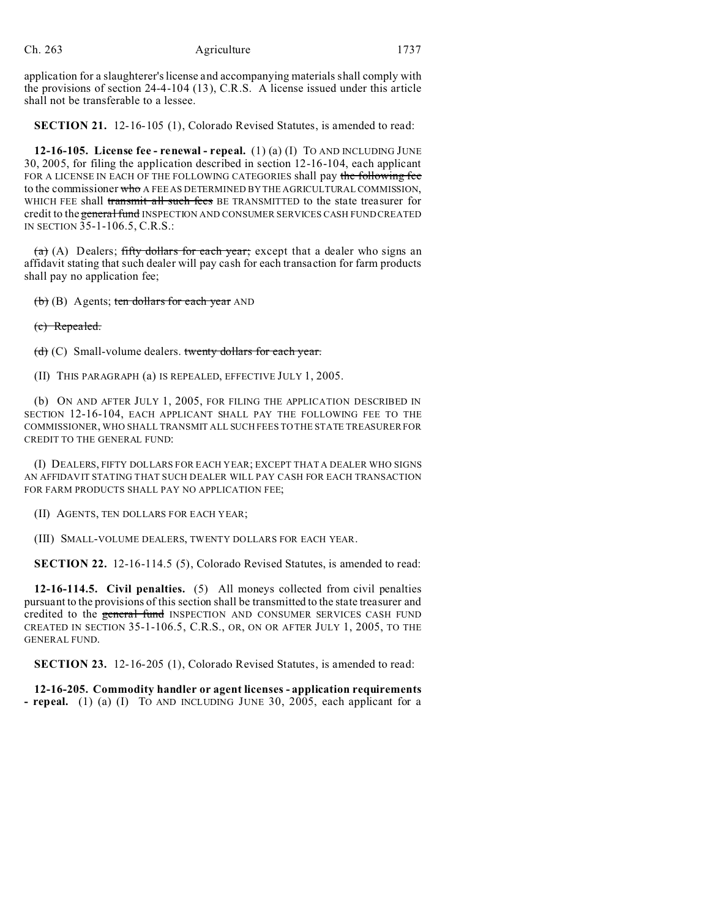application for a slaughterer's license and accompanying materials shall comply with the provisions of section 24-4-104 (13), C.R.S. A license issued under this article shall not be transferable to a lessee.

**SECTION 21.** 12-16-105 (1), Colorado Revised Statutes, is amended to read:

**12-16-105. License fee - renewal - repeal.** (1) (a) (I) TO AND INCLUDING JUNE 30, 2005, for filing the application described in section 12-16-104, each applicant FOR A LICENSE IN EACH OF THE FOLLOWING CATEGORIES shall pay the following fee to the commissioner who A FEE AS DETERMINED BY THE AGRICULTURAL COMMISSION, WHICH FEE shall transmit all such fees BE TRANSMITTED to the state treasurer for credit to the general fund INSPECTION AND CONSUMER SERVICES CASH FUND CREATED IN SECTION 35-1-106.5, C.R.S.:

 $(a)$  (A) Dealers; fifty dollars for each year; except that a dealer who signs an affidavit stating that such dealer will pay cash for each transaction for farm products shall pay no application fee;

 $(b)$  (B) Agents; ten dollars for each year AND

(c) Repealed.

 $(d)$  (C) Small-volume dealers. twenty dollars for each year.

(II) THIS PARAGRAPH (a) IS REPEALED, EFFECTIVE JULY 1, 2005.

(b) ON AND AFTER JULY 1, 2005, FOR FILING THE APPLICATION DESCRIBED IN SECTION 12-16-104, EACH APPLICANT SHALL PAY THE FOLLOWING FEE TO THE COMMISSIONER, WHO SHALL TRANSMIT ALL SUCH FEES TO THE STATE TREASURER FOR CREDIT TO THE GENERAL FUND:

(I) DEALERS, FIFTY DOLLARS FOR EACH YEAR; EXCEPT THAT A DEALER WHO SIGNS AN AFFIDAVIT STATING THAT SUCH DEALER WILL PAY CASH FOR EACH TRANSACTION FOR FARM PRODUCTS SHALL PAY NO APPLICATION FEE;

(II) AGENTS, TEN DOLLARS FOR EACH YEAR;

(III) SMALL-VOLUME DEALERS, TWENTY DOLLARS FOR EACH YEAR.

**SECTION 22.** 12-16-114.5 (5), Colorado Revised Statutes, is amended to read:

**12-16-114.5. Civil penalties.** (5) All moneys collected from civil penalties pursuant to the provisions of this section shall be transmitted to the state treasurer and credited to the general fund INSPECTION AND CONSUMER SERVICES CASH FUND CREATED IN SECTION 35-1-106.5, C.R.S., OR, ON OR AFTER JULY 1, 2005, TO THE GENERAL FUND.

**SECTION 23.** 12-16-205 (1), Colorado Revised Statutes, is amended to read:

**12-16-205. Commodity handler or agent licenses - application requirements - repeal.** (1) (a) (I) TO AND INCLUDING JUNE 30, 2005, each applicant for a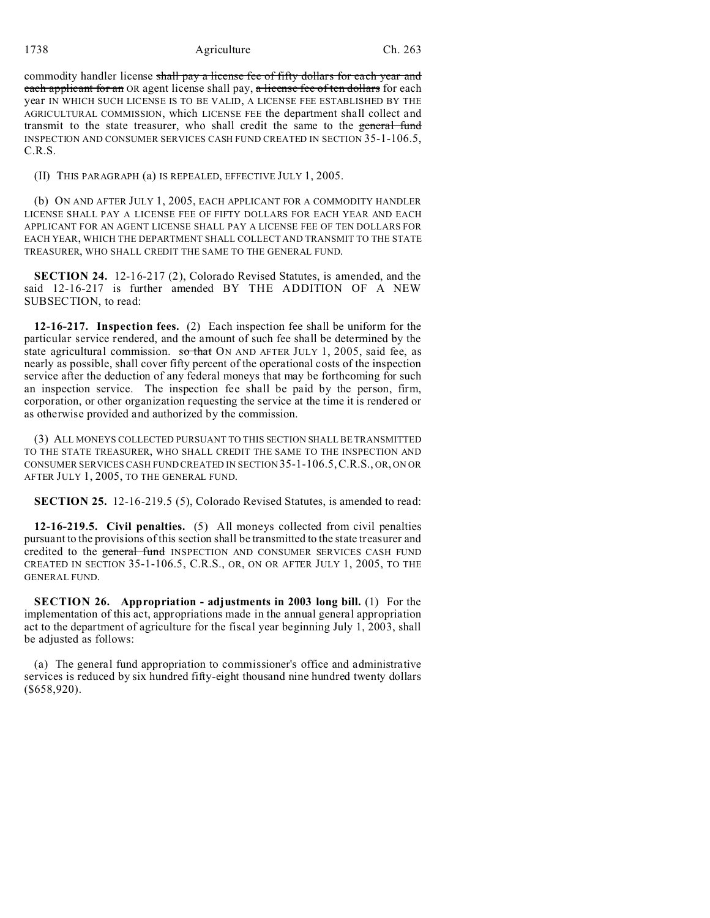commodity handler license shall pay a license fee of fifty dollars for each year and each applicant for an OR agent license shall pay, a license fee of ten dollars for each year IN WHICH SUCH LICENSE IS TO BE VALID, A LICENSE FEE ESTABLISHED BY THE AGRICULTURAL COMMISSION, which LICENSE FEE the department shall collect and transmit to the state treasurer, who shall credit the same to the general fund INSPECTION AND CONSUMER SERVICES CASH FUND CREATED IN SECTION 35-1-106.5, C.R.S.

(II) THIS PARAGRAPH (a) IS REPEALED, EFFECTIVE JULY 1, 2005.

(b) ON AND AFTER JULY 1, 2005, EACH APPLICANT FOR A COMMODITY HANDLER LICENSE SHALL PAY A LICENSE FEE OF FIFTY DOLLARS FOR EACH YEAR AND EACH APPLICANT FOR AN AGENT LICENSE SHALL PAY A LICENSE FEE OF TEN DOLLARS FOR EACH YEAR, WHICH THE DEPARTMENT SHALL COLLECT AND TRANSMIT TO THE STATE TREASURER, WHO SHALL CREDIT THE SAME TO THE GENERAL FUND.

**SECTION 24.** 12-16-217 (2), Colorado Revised Statutes, is amended, and the said 12-16-217 is further amended BY THE ADDITION OF A NEW SUBSECTION, to read:

**12-16-217. Inspection fees.** (2) Each inspection fee shall be uniform for the particular service rendered, and the amount of such fee shall be determined by the state agricultural commission. so that ON AND AFTER JULY 1, 2005, said fee, as nearly as possible, shall cover fifty percent of the operational costs of the inspection service after the deduction of any federal moneys that may be forthcoming for such an inspection service. The inspection fee shall be paid by the person, firm, corporation, or other organization requesting the service at the time it is rendered or as otherwise provided and authorized by the commission.

(3) ALL MONEYS COLLECTED PURSUANT TO THIS SECTION SHALL BE TRANSMITTED TO THE STATE TREASURER, WHO SHALL CREDIT THE SAME TO THE INSPECTION AND CONSUMER SERVICES CASH FUND CREATED IN SECTION 35-1-106.5,C.R.S., OR, ON OR AFTER JULY 1, 2005, TO THE GENERAL FUND.

**SECTION 25.** 12-16-219.5 (5), Colorado Revised Statutes, is amended to read:

**12-16-219.5. Civil penalties.** (5) All moneys collected from civil penalties pursuant to the provisions of this section shall be transmitted to the state treasurer and credited to the general fund INSPECTION AND CONSUMER SERVICES CASH FUND CREATED IN SECTION 35-1-106.5, C.R.S., OR, ON OR AFTER JULY 1, 2005, TO THE GENERAL FUND.

**SECTION 26. Appropriation - adjustments in 2003 long bill.** (1) For the implementation of this act, appropriations made in the annual general appropriation act to the department of agriculture for the fiscal year beginning July 1, 2003, shall be adjusted as follows:

(a) The general fund appropriation to commissioner's office and administrative services is reduced by six hundred fifty-eight thousand nine hundred twenty dollars (\$658,920).